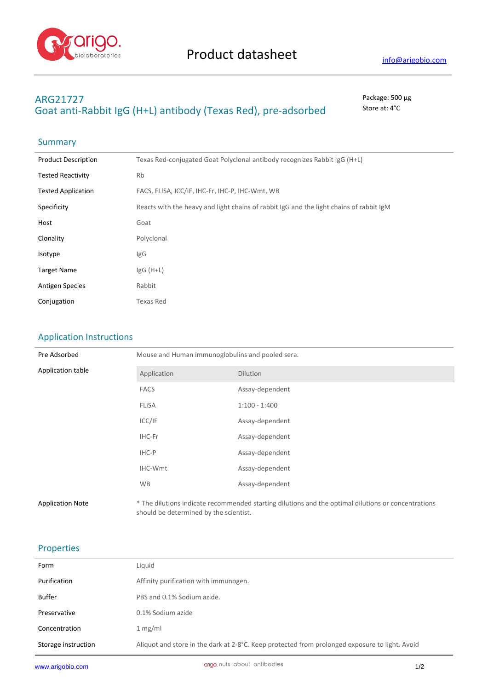

## **ARG21727** Package: 500 μg Goat anti-Rabbit IgG (H+L) antibody (Texas Red), pre-adsorbed store at: 4°C

## **Summary**

| <b>Product Description</b> | Texas Red-conjugated Goat Polyclonal antibody recognizes Rabbit IgG (H+L)               |
|----------------------------|-----------------------------------------------------------------------------------------|
| <b>Tested Reactivity</b>   | <b>Rb</b>                                                                               |
| <b>Tested Application</b>  | FACS, FLISA, ICC/IF, IHC-Fr, IHC-P, IHC-Wmt, WB                                         |
| Specificity                | Reacts with the heavy and light chains of rabbit IgG and the light chains of rabbit IgM |
| Host                       | Goat                                                                                    |
| Clonality                  | Polyclonal                                                                              |
| Isotype                    | lgG                                                                                     |
| <b>Target Name</b>         | $lgG(H+L)$                                                                              |
| <b>Antigen Species</b>     | Rabbit                                                                                  |
| Conjugation                | Texas Red                                                                               |
|                            |                                                                                         |

## Application Instructions

| Pre Adsorbed            | Mouse and Human immunoglobulins and pooled sera.                                                                                              |                 |  |
|-------------------------|-----------------------------------------------------------------------------------------------------------------------------------------------|-----------------|--|
| Application table       | Application                                                                                                                                   | <b>Dilution</b> |  |
|                         | <b>FACS</b>                                                                                                                                   | Assay-dependent |  |
|                         | <b>FLISA</b>                                                                                                                                  | $1:100 - 1:400$ |  |
|                         | ICC/IF                                                                                                                                        | Assay-dependent |  |
|                         | IHC-Fr                                                                                                                                        | Assay-dependent |  |
|                         | IHC-P                                                                                                                                         | Assay-dependent |  |
|                         | IHC-Wmt                                                                                                                                       | Assay-dependent |  |
|                         | <b>WB</b>                                                                                                                                     | Assay-dependent |  |
| <b>Application Note</b> | * The dilutions indicate recommended starting dilutions and the optimal dilutions or concentrations<br>should be determined by the scientist. |                 |  |

## Properties

| Form                | Liquid                                                                                         |
|---------------------|------------------------------------------------------------------------------------------------|
| Purification        | Affinity purification with immunogen.                                                          |
| Buffer              | PBS and 0.1% Sodium azide.                                                                     |
| Preservative        | 0.1% Sodium azide                                                                              |
| Concentration       | 1 mg/ml                                                                                        |
| Storage instruction | Aliquot and store in the dark at 2-8°C. Keep protected from prolonged exposure to light. Avoid |